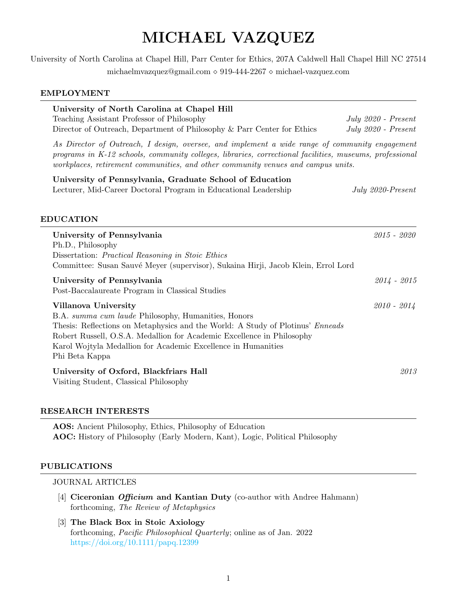# MICHAEL VAZQUEZ

University of North Carolina at Chapel Hill, Parr Center for Ethics, 207A Caldwell Hall Chapel Hill NC 27514 michaelmvazquez@gmail.com 919-444-2267 michael-vazquez.com

#### EMPLOYMENT

| University of North Carolina at Chapel Hill<br>Teaching Assistant Professor of Philosophy<br>Director of Outreach, Department of Philosophy & Parr Center for Ethics                                                                                                                                                              | July $2020$ - Present<br>July $2020$ - Present |
|-----------------------------------------------------------------------------------------------------------------------------------------------------------------------------------------------------------------------------------------------------------------------------------------------------------------------------------|------------------------------------------------|
| As Director of Outreach, I design, oversee, and implement a wide range of community engagement<br>programs in K-12 schools, community colleges, libraries, correctional facilities, museums, professional<br>workplaces, retirement communities, and other community venues and campus units.                                     |                                                |
| University of Pennsylvania, Graduate School of Education<br>Lecturer, Mid-Career Doctoral Program in Educational Leadership<br><b>EDUCATION</b>                                                                                                                                                                                   | July 2020-Present                              |
| University of Pennsylvania<br>Ph.D., Philosophy<br>Dissertation: <i>Practical Reasoning in Stoic Ethics</i><br>Committee: Susan Sauvé Meyer (supervisor), Sukaina Hirji, Jacob Klein, Errol Lord                                                                                                                                  | $2015 - 2020$                                  |
| University of Pennsylvania<br>Post-Baccalaureate Program in Classical Studies                                                                                                                                                                                                                                                     | $2014 - 2015$                                  |
| Villanova University<br>B.A. summa cum laude Philosophy, Humanities, Honors<br>Thesis: Reflections on Metaphysics and the World: A Study of Plotinus' <i>Enneads</i><br>Robert Russell, O.S.A. Medallion for Academic Excellence in Philosophy<br>Karol Wojtyla Medallion for Academic Excellence in Humanities<br>Phi Beta Kappa | $2010 - 2014$                                  |
| University of Oxford, Blackfriars Hall<br>Visiting Student, Classical Philosophy                                                                                                                                                                                                                                                  | 2013                                           |

#### RESEARCH INTERESTS

AOS: Ancient Philosophy, Ethics, Philosophy of Education AOC: History of Philosophy (Early Modern, Kant), Logic, Political Philosophy

#### PUBLICATIONS

#### JOURNAL ARTICLES

- [4] Ciceronian *Officium* and Kantian Duty (co-author with Andree Hahmann) forthcoming, The Review of Metaphysics
- [3] The Black Box in Stoic Axiology forthcoming, Pacific Philosophical Quarterly; online as of Jan. 2022 <https://doi.org/10.1111/papq.12399>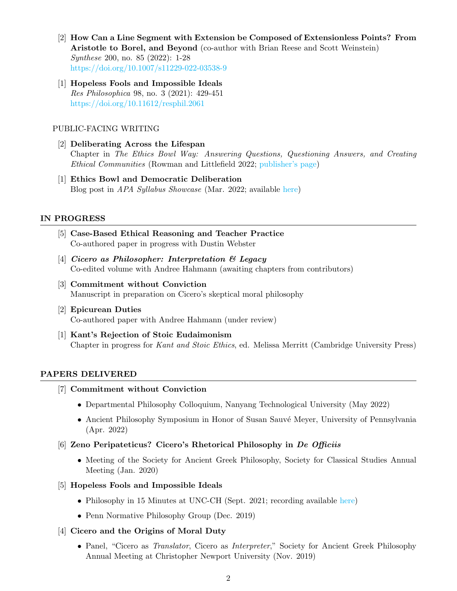- [2] How Can a Line Segment with Extension be Composed of Extensionless Points? From Aristotle to Borel, and Beyond (co-author with Brian Reese and Scott Weinstein) Synthese 200, no. 85 (2022): 1-28 <https://doi.org/10.1007/s11229-022-03538-9>
- [1] Hopeless Fools and Impossible Ideals Res Philosophica 98, no. 3 (2021): 429-451 <https://doi.org/10.11612/resphil.2061>

#### PUBLIC-FACING WRITING

- [2] Deliberating Across the Lifespan Chapter in The Ethics Bowl Way: Answering Questions, Questioning Answers, and Creating Ethical Communities (Rowman and Littlefield 2022; [publisher's page\)](https://rowman.com/ISBN/9781475861617/The-Ethics-Bowl-Way-Answering-Questions-Questioning-Answers-and-Creating-Ethical-Communities)
- [1] Ethics Bowl and Democratic Deliberation Blog post in APA Syllabus Showcase (Mar. 2022; available [here\)](https://blog.apaonline.org/2022/03/23/syllabus-showcase-ethics-bowl-and-democratic-deliberation-michael-vazquez/)

## IN PROGRESS

- [5] Case-Based Ethical Reasoning and Teacher Practice Co-authored paper in progress with Dustin Webster
- [4] Cicero as Philosopher: Interpretation  $\mathcal{B}$  Legacy Co-edited volume with Andree Hahmann (awaiting chapters from contributors)
- [3] Commitment without Conviction Manuscript in preparation on Cicero's skeptical moral philosophy
- [2] Epicurean Duties Co-authored paper with Andree Hahmann (under review)
- [1] Kant's Rejection of Stoic Eudaimonism Chapter in progress for Kant and Stoic Ethics, ed. Melissa Merritt (Cambridge University Press)

# PAPERS DELIVERED

- [7] Commitment without Conviction
	- Departmental Philosophy Colloquium, Nanyang Technological University (May 2022)
	- Ancient Philosophy Symposium in Honor of Susan Sauvé Meyer, University of Pennsylvania (Apr. 2022)
- [6] Zeno Peripateticus? Cicero's Rhetorical Philosophy in De Officiis
	- Meeting of the Society for Ancient Greek Philosophy, Society for Classical Studies Annual Meeting (Jan. 2020)
- [5] Hopeless Fools and Impossible Ideals
	- Philosophy in 15 Minutes at UNC-CH (Sept. 2021; recording available [here\)](https://youtu.be/QbaY507RfOA?t=3001)
	- Penn Normative Philosophy Group (Dec. 2019)
- [4] Cicero and the Origins of Moral Duty
	- Panel, "Cicero as Translator, Cicero as Interpreter," Society for Ancient Greek Philosophy Annual Meeting at Christopher Newport University (Nov. 2019)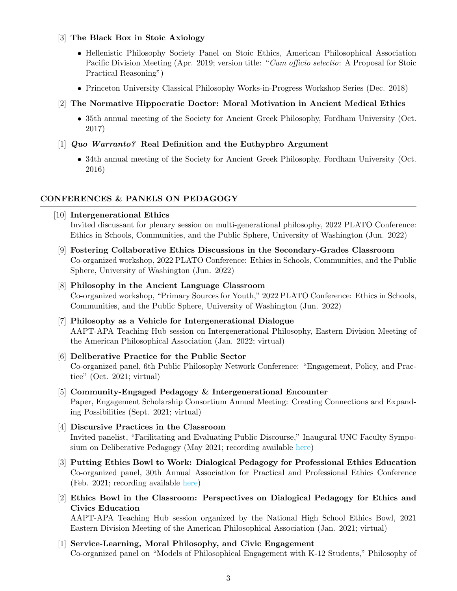#### [3] The Black Box in Stoic Axiology

- Hellenistic Philosophy Society Panel on Stoic Ethics, American Philosophical Association Pacific Division Meeting (Apr. 2019; version title: "Cum officio selectio: A Proposal for Stoic Practical Reasoning")
- Princeton University Classical Philosophy Works-in-Progress Workshop Series (Dec. 2018)
- [2] The Normative Hippocratic Doctor: Moral Motivation in Ancient Medical Ethics
	- 35th annual meeting of the Society for Ancient Greek Philosophy, Fordham University (Oct. 2017)

## [1] Quo Warranto? Real Definition and the Euthyphro Argument

• 34th annual meeting of the Society for Ancient Greek Philosophy, Fordham University (Oct. 2016)

## CONFERENCES & PANELS ON PEDAGOGY

#### [10] Intergenerational Ethics

Invited discussant for plenary session on multi-generational philosophy, 2022 PLATO Conference: Ethics in Schools, Communities, and the Public Sphere, University of Washington (Jun. 2022)

[9] Fostering Collaborative Ethics Discussions in the Secondary-Grades Classroom Co-organized workshop, 2022 PLATO Conference: Ethics in Schools, Communities, and the Public Sphere, University of Washington (Jun. 2022)

# [8] Philosophy in the Ancient Language Classroom Co-organized workshop, "Primary Sources for Youth," 2022 PLATO Conference: Ethics in Schools, Communities, and the Public Sphere, University of Washington (Jun. 2022)

- [7] Philosophy as a Vehicle for Intergenerational Dialogue AAPT-APA Teaching Hub session on Intergenerational Philosophy, Eastern Division Meeting of the American Philosophical Association (Jan. 2022; virtual)
- [6] Deliberative Practice for the Public Sector Co-organized panel, 6th Public Philosophy Network Conference: "Engagement, Policy, and Practice" (Oct. 2021; virtual)
- [5] Community-Engaged Pedagogy & Intergenerational Encounter Paper, Engagement Scholarship Consortium Annual Meeting: Creating Connections and Expanding Possibilities (Sept. 2021; virtual)
- [4] Discursive Practices in the Classroom Invited panelist, "Facilitating and Evaluating Public Discourse," Inaugural UNC Faculty Symposium on Deliberative Pedagogy (May 2021; recording available [here\)](https://youtu.be/5VjKwXVfErQ?t=1926)
- [3] Putting Ethics Bowl to Work: Dialogical Pedagogy for Professional Ethics Education Co-organized panel, 30th Annual Association for Practical and Professional Ethics Conference (Feb. 2021; recording available [here\)](https://youtu.be/ZNlQ6Mk6n4E)
- [2] Ethics Bowl in the Classroom: Perspectives on Dialogical Pedagogy for Ethics and Civics Education

AAPT-APA Teaching Hub session organized by the National High School Ethics Bowl, 2021 Eastern Division Meeting of the American Philosophical Association (Jan. 2021; virtual)

[1] Service-Learning, Moral Philosophy, and Civic Engagement Co-organized panel on "Models of Philosophical Engagement with K-12 Students," Philosophy of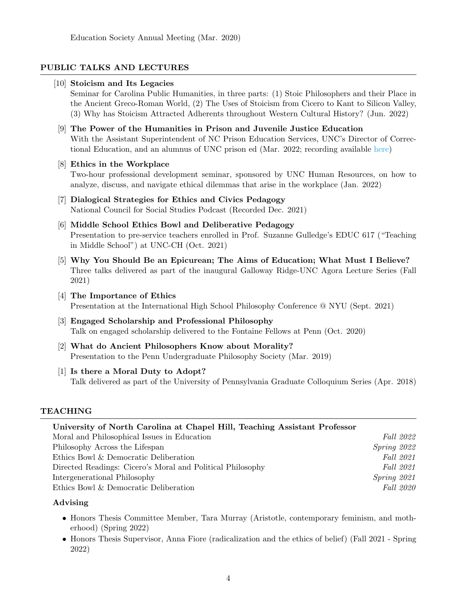## PUBLIC TALKS AND LECTURES

#### [10] Stoicism and Its Legacies

Seminar for Carolina Public Humanities, in three parts: (1) Stoic Philosophers and their Place in the Ancient Greco-Roman World, (2) The Uses of Stoicism from Cicero to Kant to Silicon Valley, (3) Why has Stoicism Attracted Adherents throughout Western Cultural History? (Jun. 2022)

- [9] The Power of the Humanities in Prison and Juvenile Justice Education With the Assistant Superintendent of NC Prison Education Services, UNC's Director of Correctional Education, and an alumnus of UNC prison ed (Mar. 2022; recording available [here\)](https://youtu.be/UFhNggUtecM)
- [8] Ethics in the Workplace Two-hour professional development seminar, sponsored by UNC Human Resources, on how to analyze, discuss, and navigate ethical dilemmas that arise in the workplace (Jan. 2022)
- [7] Dialogical Strategies for Ethics and Civics Pedagogy National Council for Social Studies Podcast (Recorded Dec. 2021)
- [6] Middle School Ethics Bowl and Deliberative Pedagogy Presentation to pre-service teachers enrolled in Prof. Suzanne Gulledge's EDUC 617 ("Teaching in Middle School") at UNC-CH (Oct. 2021)
- [5] Why You Should Be an Epicurean; The Aims of Education; What Must I Believe? Three talks delivered as part of the inaugural Galloway Ridge-UNC Agora Lecture Series (Fall 2021)
- [4] The Importance of Ethics Presentation at the International High School Philosophy Conference @ NYU (Sept. 2021)
- [3] Engaged Scholarship and Professional Philosophy Talk on engaged scholarship delivered to the Fontaine Fellows at Penn (Oct. 2020)
- [2] What do Ancient Philosophers Know about Morality? Presentation to the Penn Undergraduate Philosophy Society (Mar. 2019)
- [1] Is there a Moral Duty to Adopt? Talk delivered as part of the University of Pennsylvania Graduate Colloquium Series (Apr. 2018)

#### TEACHING

| University of North Carolina at Chapel Hill, Teaching Assistant Professor |                  |
|---------------------------------------------------------------------------|------------------|
| Moral and Philosophical Issues in Education                               | <i>Fall</i> 2022 |
| Philosophy Across the Lifespan                                            | Spring 2022      |
| Ethics Bowl & Democratic Deliberation                                     | Fall 2021        |
| Directed Readings: Cicero's Moral and Political Philosophy                | <i>Fall</i> 2021 |
| Intergenerational Philosophy                                              | Spring 2021      |
| Ethics Bowl & Democratic Deliberation                                     | <i>Fall</i> 2020 |

#### Advising

- Honors Thesis Committee Member, Tara Murray (Aristotle, contemporary feminism, and motherhood) (Spring 2022)
- Honors Thesis Supervisor, Anna Fiore (radicalization and the ethics of belief) (Fall 2021 Spring 2022)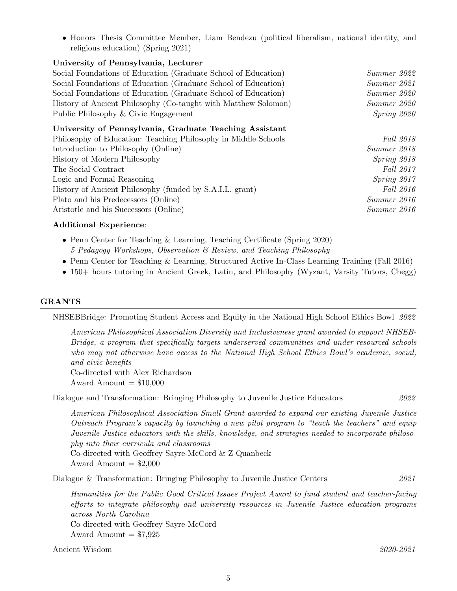• Honors Thesis Committee Member, Liam Bendezu (political liberalism, national identity, and religious education) (Spring 2021)

#### University of Pennsylvania, Lecturer

| Social Foundations of Education (Graduate School of Education) | Summer 2022 |
|----------------------------------------------------------------|-------------|
| Social Foundations of Education (Graduate School of Education) | Summer 2021 |
| Social Foundations of Education (Graduate School of Education) | Summer 2020 |
| History of Ancient Philosophy (Co-taught with Matthew Solomon) | Summer 2020 |
| Public Philosophy & Civic Engagement                           | Spring 2020 |
| <b>TT .</b>                                                    |             |

#### University of Pennsylvania, Graduate Teaching Assistant

| Philosophy of Education: Teaching Philosophy in Middle Schools | <i>Fall</i> 2018 |
|----------------------------------------------------------------|------------------|
| Introduction to Philosophy (Online)                            | Summer 2018      |
| History of Modern Philosophy                                   | $Spring\ 2018$   |
| The Social Contract                                            | Fall 2017        |
| Logic and Formal Reasoning                                     | Spring 2017      |
| History of Ancient Philosophy (funded by S.A.I.L. grant)       | <i>Fall</i> 2016 |
| Plato and his Predecessors (Online)                            | Summer 2016      |
| Aristotle and his Successors (Online)                          | Summer 2016      |
|                                                                |                  |

#### Additional Experience:

- Penn Center for Teaching & Learning, Teaching Certificate (Spring 2020) 5 Pedagogy Workshops, Observation & Review, and Teaching Philosophy
- Penn Center for Teaching & Learning, Structured Active In-Class Learning Training (Fall 2016)
- 150+ hours tutoring in Ancient Greek, Latin, and Philosophy (Wyzant, Varsity Tutors, Chegg)

# GRANTS

NHSEBBridge: Promoting Student Access and Equity in the National High School Ethics Bowl 2022

American Philosophical Association Diversity and Inclusiveness grant awarded to support NHSEB-Bridge, a program that specifically targets underserved communities and under-resourced schools who may not otherwise have access to the National High School Ethics Bowl's academic, social, and civic benefits

Co-directed with Alex Richardson Award Amount  $= $10,000$ 

Dialogue and Transformation: Bringing Philosophy to Juvenile Justice Educators 2022

American Philosophical Association Small Grant awarded to expand our existing Juvenile Justice Outreach Program's capacity by launching a new pilot program to "teach the teachers" and equip Juvenile Justice educators with the skills, knowledge, and strategies needed to incorporate philosophy into their curricula and classrooms Co-directed with Geoffrey Sayre-McCord & Z Quanbeck

Award Amount  $= $2,000$ 

Dialogue & Transformation: Bringing Philosophy to Juvenile Justice Centers 2021

Humanities for the Public Good Critical Issues Project Award to fund student and teacher-facing efforts to integrate philosophy and university resources in Juvenile Justice education programs across North Carolina Co-directed with Geoffrey Sayre-McCord Award Amount  $= $7,925$ 

Ancient Wisdom 2020-2021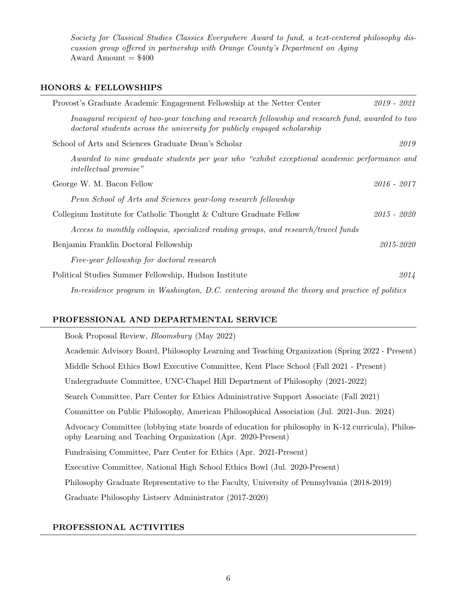Society for Classical Studies Classics Everywhere Award to fund, a text-centered philosophy discussion group offered in partnership with Orange County's Department on Aging Award Amount  $= $400$ 

## HONORS & FELLOWSHIPS

| Provost's Graduate Academic Engagement Fellowship at the Netter Center                                                                                                         | $2019 - 2021$ |
|--------------------------------------------------------------------------------------------------------------------------------------------------------------------------------|---------------|
| Inaugural recipient of two-year teaching and research fellowship and research fund, awarded to two<br>doctoral students across the university for publicly engaged scholarship |               |
| School of Arts and Sciences Graduate Dean's Scholar                                                                                                                            | 2019          |
| Awarded to nine graduate students per year who "exhibit exceptional academic performance and<br><i>intellectual promise</i> "                                                  |               |
| George W. M. Bacon Fellow                                                                                                                                                      | $2016 - 2017$ |
| Penn School of Arts and Sciences year-long research fellowship                                                                                                                 |               |
| Collegium Institute for Catholic Thought & Culture Graduate Fellow                                                                                                             | 2015 - 2020   |
| Access to monthly colloquia, specialized reading groups, and research/travel funds                                                                                             |               |
| Benjamin Franklin Doctoral Fellowship                                                                                                                                          | 2015-2020     |
| Five-year fellowship for doctoral research                                                                                                                                     |               |
| Political Studies Summer Fellowship, Hudson Institute                                                                                                                          | 2014          |
| In-residence program in Washington, D.C. centering around the theory and practice of politics                                                                                  |               |

# PROFESSIONAL AND DEPARTMENTAL SERVICE

| Book Proposal Review, <i>Bloomsbury</i> (May 2022)                                                                                                               |
|------------------------------------------------------------------------------------------------------------------------------------------------------------------|
| Academic Advisory Board, Philosophy Learning and Teaching Organization (Spring 2022 - Present)                                                                   |
| Middle School Ethics Bowl Executive Committee, Kent Place School (Fall 2021 - Present)                                                                           |
| Undergraduate Committee, UNC-Chapel Hill Department of Philosophy (2021-2022)                                                                                    |
| Search Committee, Parr Center for Ethics Administrative Support Associate (Fall 2021)                                                                            |
| Committee on Public Philosophy, American Philosophical Association (Jul. 2021-Jun. 2024)                                                                         |
| Advocacy Committee (lobbying state boards of education for philosophy in K-12 curricula), Philos-<br>ophy Learning and Teaching Organization (Apr. 2020-Present) |
| Fundraising Committee, Parr Center for Ethics (Apr. 2021-Present)                                                                                                |
| Executive Committee, National High School Ethics Bowl (Jul. 2020-Present)                                                                                        |
| Philosophy Graduate Representative to the Faculty, University of Pennsylvania (2018-2019)                                                                        |
| Graduate Philosophy Listserv Administrator (2017-2020)                                                                                                           |

# PROFESSIONAL ACTIVITIES